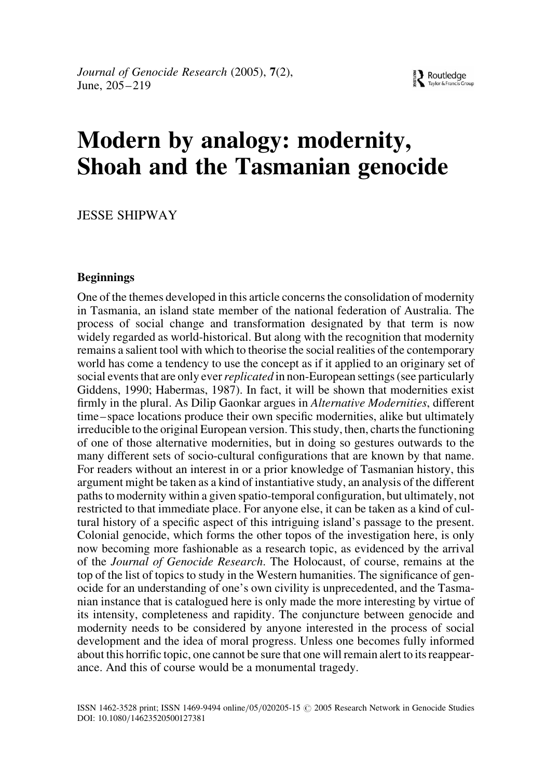# Modern by analogy: modernity, Shoah and the Tasmanian genocide

 $\sum_{\text{Taylor A Francis Group}}$ 

JESSE SHIPWAY

# **Beginnings**

One of the themes developed in this article concerns the consolidation of modernity in Tasmania, an island state member of the national federation of Australia. The process of social change and transformation designated by that term is now widely regarded as world-historical. But along with the recognition that modernity remains a salient tool with which to theorise the social realities of the contemporary world has come a tendency to use the concept as if it applied to an originary set of social events that are only ever *replicated* in non-European settings (see particularly Giddens, 1990; Habermas, 1987). In fact, it will be shown that modernities exist firmly in the plural. As Dilip Gaonkar argues in Alternative Modernities, different time– space locations produce their own specific modernities, alike but ultimately irreducible to the original European version. This study, then, charts the functioning of one of those alternative modernities, but in doing so gestures outwards to the many different sets of socio-cultural configurations that are known by that name. For readers without an interest in or a prior knowledge of Tasmanian history, this argument might be taken as a kind of instantiative study, an analysis of the different paths to modernity within a given spatio-temporal configuration, but ultimately, not restricted to that immediate place. For anyone else, it can be taken as a kind of cultural history of a specific aspect of this intriguing island's passage to the present. Colonial genocide, which forms the other topos of the investigation here, is only now becoming more fashionable as a research topic, as evidenced by the arrival of the Journal of Genocide Research. The Holocaust, of course, remains at the top of the list of topics to study in the Western humanities. The significance of genocide for an understanding of one's own civility is unprecedented, and the Tasmanian instance that is catalogued here is only made the more interesting by virtue of its intensity, completeness and rapidity. The conjuncture between genocide and modernity needs to be considered by anyone interested in the process of social development and the idea of moral progress. Unless one becomes fully informed about this horrific topic, one cannot be sure that one will remain alert to its reappearance. And this of course would be a monumental tragedy.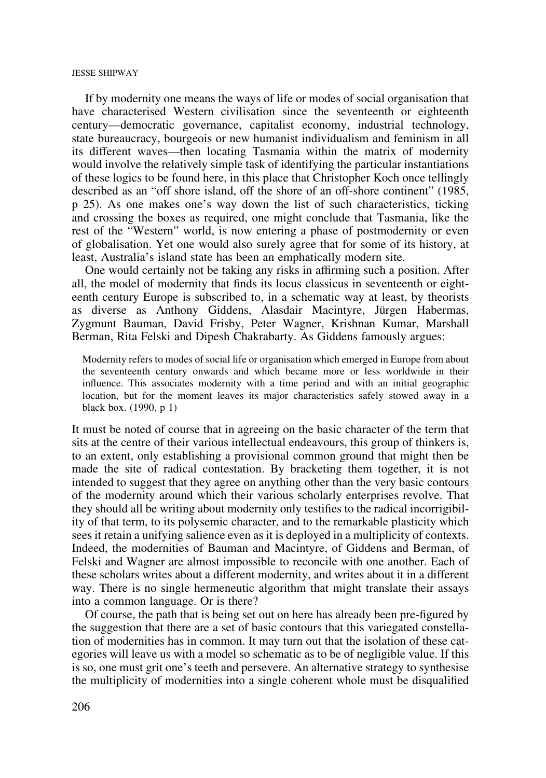If by modernity one means the ways of life or modes of social organisation that have characterised Western civilisation since the seventeenth or eighteenth century—democratic governance, capitalist economy, industrial technology, state bureaucracy, bourgeois or new humanist individualism and feminism in all its different waves—then locating Tasmania within the matrix of modernity would involve the relatively simple task of identifying the particular instantiations of these logics to be found here, in this place that Christopher Koch once tellingly described as an "off shore island, off the shore of an off-shore continent" (1985, p 25). As one makes one's way down the list of such characteristics, ticking and crossing the boxes as required, one might conclude that Tasmania, like the rest of the "Western" world, is now entering a phase of postmodernity or even of globalisation. Yet one would also surely agree that for some of its history, at least, Australia's island state has been an emphatically modern site.

One would certainly not be taking any risks in affirming such a position. After all, the model of modernity that finds its locus classicus in seventeenth or eighteenth century Europe is subscribed to, in a schematic way at least, by theorists as diverse as Anthony Giddens, Alasdair Macintyre, Jürgen Habermas, Zygmunt Bauman, David Frisby, Peter Wagner, Krishnan Kumar, Marshall Berman, Rita Felski and Dipesh Chakrabarty. As Giddens famously argues:

Modernity refers to modes of social life or organisation which emerged in Europe from about the seventeenth century onwards and which became more or less worldwide in their influence. This associates modernity with a time period and with an initial geographic location, but for the moment leaves its major characteristics safely stowed away in a black box. (1990, p 1)

It must be noted of course that in agreeing on the basic character of the term that sits at the centre of their various intellectual endeavours, this group of thinkers is, to an extent, only establishing a provisional common ground that might then be made the site of radical contestation. By bracketing them together, it is not intended to suggest that they agree on anything other than the very basic contours of the modernity around which their various scholarly enterprises revolve. That they should all be writing about modernity only testifies to the radical incorrigibility of that term, to its polysemic character, and to the remarkable plasticity which sees it retain a unifying salience even as it is deployed in a multiplicity of contexts. Indeed, the modernities of Bauman and Macintyre, of Giddens and Berman, of Felski and Wagner are almost impossible to reconcile with one another. Each of these scholars writes about a different modernity, and writes about it in a different way. There is no single hermeneutic algorithm that might translate their assays into a common language. Or is there?

Of course, the path that is being set out on here has already been pre-figured by the suggestion that there are a set of basic contours that this variegated constellation of modernities has in common. It may turn out that the isolation of these categories will leave us with a model so schematic as to be of negligible value. If this is so, one must grit one's teeth and persevere. An alternative strategy to synthesise the multiplicity of modernities into a single coherent whole must be disqualified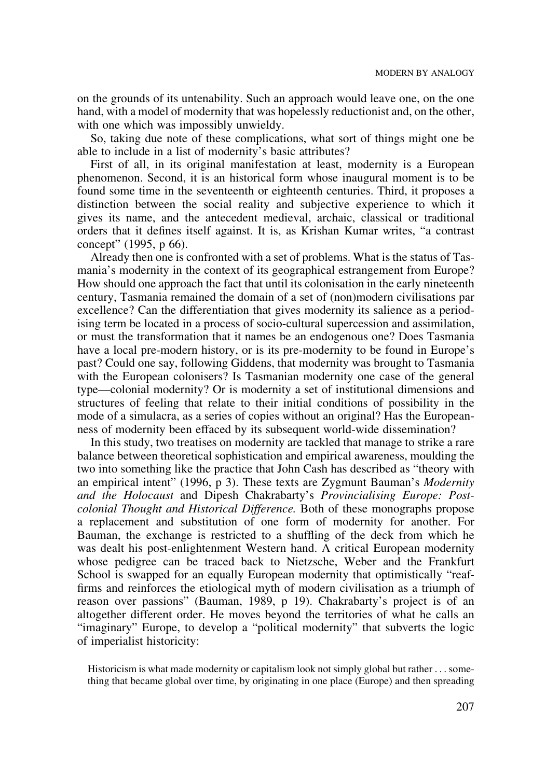on the grounds of its untenability. Such an approach would leave one, on the one hand, with a model of modernity that was hopelessly reductionist and, on the other, with one which was impossibly unwieldy.

So, taking due note of these complications, what sort of things might one be able to include in a list of modernity's basic attributes?

First of all, in its original manifestation at least, modernity is a European phenomenon. Second, it is an historical form whose inaugural moment is to be found some time in the seventeenth or eighteenth centuries. Third, it proposes a distinction between the social reality and subjective experience to which it gives its name, and the antecedent medieval, archaic, classical or traditional orders that it defines itself against. It is, as Krishan Kumar writes, "a contrast concept" (1995, p 66).

Already then one is confronted with a set of problems. What is the status of Tasmania's modernity in the context of its geographical estrangement from Europe? How should one approach the fact that until its colonisation in the early nineteenth century, Tasmania remained the domain of a set of (non)modern civilisations par excellence? Can the differentiation that gives modernity its salience as a periodising term be located in a process of socio-cultural supercession and assimilation, or must the transformation that it names be an endogenous one? Does Tasmania have a local pre-modern history, or is its pre-modernity to be found in Europe's past? Could one say, following Giddens, that modernity was brought to Tasmania with the European colonisers? Is Tasmanian modernity one case of the general type—colonial modernity? Or is modernity a set of institutional dimensions and structures of feeling that relate to their initial conditions of possibility in the mode of a simulacra, as a series of copies without an original? Has the Europeanness of modernity been effaced by its subsequent world-wide dissemination?

In this study, two treatises on modernity are tackled that manage to strike a rare balance between theoretical sophistication and empirical awareness, moulding the two into something like the practice that John Cash has described as "theory with an empirical intent" (1996, p 3). These texts are Zygmunt Bauman's Modernity and the Holocaust and Dipesh Chakrabarty's Provincialising Europe: Postcolonial Thought and Historical Difference. Both of these monographs propose a replacement and substitution of one form of modernity for another. For Bauman, the exchange is restricted to a shuffling of the deck from which he was dealt his post-enlightenment Western hand. A critical European modernity whose pedigree can be traced back to Nietzsche, Weber and the Frankfurt School is swapped for an equally European modernity that optimistically "reaffirms and reinforces the etiological myth of modern civilisation as a triumph of reason over passions" (Bauman, 1989, p 19). Chakrabarty's project is of an altogether different order. He moves beyond the territories of what he calls an "imaginary" Europe, to develop a "political modernity" that subverts the logic of imperialist historicity:

Historicism is what made modernity or capitalism look not simply global but rather ... something that became global over time, by originating in one place (Europe) and then spreading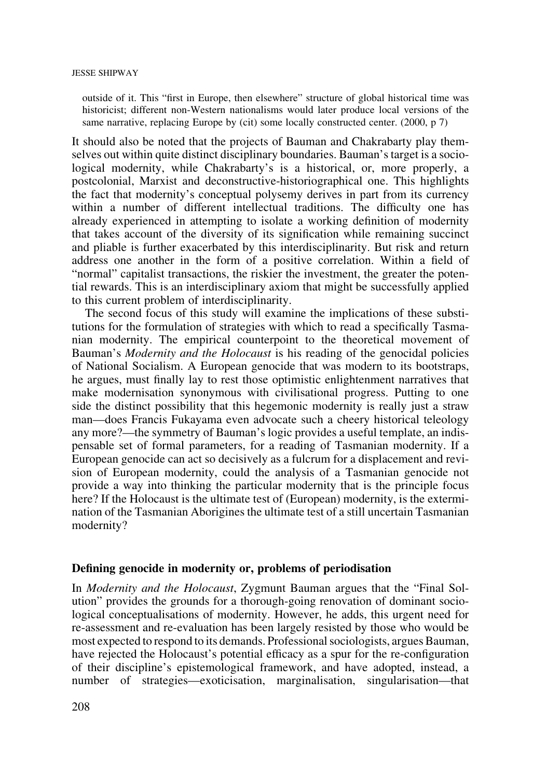outside of it. This "first in Europe, then elsewhere" structure of global historical time was historicist; different non-Western nationalisms would later produce local versions of the same narrative, replacing Europe by (cit) some locally constructed center. (2000, p 7)

It should also be noted that the projects of Bauman and Chakrabarty play themselves out within quite distinct disciplinary boundaries. Bauman's target is a sociological modernity, while Chakrabarty's is a historical, or, more properly, a postcolonial, Marxist and deconstructive-historiographical one. This highlights the fact that modernity's conceptual polysemy derives in part from its currency within a number of different intellectual traditions. The difficulty one has already experienced in attempting to isolate a working definition of modernity that takes account of the diversity of its signification while remaining succinct and pliable is further exacerbated by this interdisciplinarity. But risk and return address one another in the form of a positive correlation. Within a field of "normal" capitalist transactions, the riskier the investment, the greater the potential rewards. This is an interdisciplinary axiom that might be successfully applied to this current problem of interdisciplinarity.

The second focus of this study will examine the implications of these substitutions for the formulation of strategies with which to read a specifically Tasmanian modernity. The empirical counterpoint to the theoretical movement of Bauman's *Modernity and the Holocaust* is his reading of the genocidal policies of National Socialism. A European genocide that was modern to its bootstraps, he argues, must finally lay to rest those optimistic enlightenment narratives that make modernisation synonymous with civilisational progress. Putting to one side the distinct possibility that this hegemonic modernity is really just a straw man—does Francis Fukayama even advocate such a cheery historical teleology any more?—the symmetry of Bauman's logic provides a useful template, an indispensable set of formal parameters, for a reading of Tasmanian modernity. If a European genocide can act so decisively as a fulcrum for a displacement and revision of European modernity, could the analysis of a Tasmanian genocide not provide a way into thinking the particular modernity that is the principle focus here? If the Holocaust is the ultimate test of (European) modernity, is the extermination of the Tasmanian Aborigines the ultimate test of a still uncertain Tasmanian modernity?

## Defining genocide in modernity or, problems of periodisation

In Modernity and the Holocaust, Zygmunt Bauman argues that the "Final Solution" provides the grounds for a thorough-going renovation of dominant sociological conceptualisations of modernity. However, he adds, this urgent need for re-assessment and re-evaluation has been largely resisted by those who would be most expected to respond to its demands. Professional sociologists, argues Bauman, have rejected the Holocaust's potential efficacy as a spur for the re-configuration of their discipline's epistemological framework, and have adopted, instead, a number of strategies—exoticisation, marginalisation, singularisation—that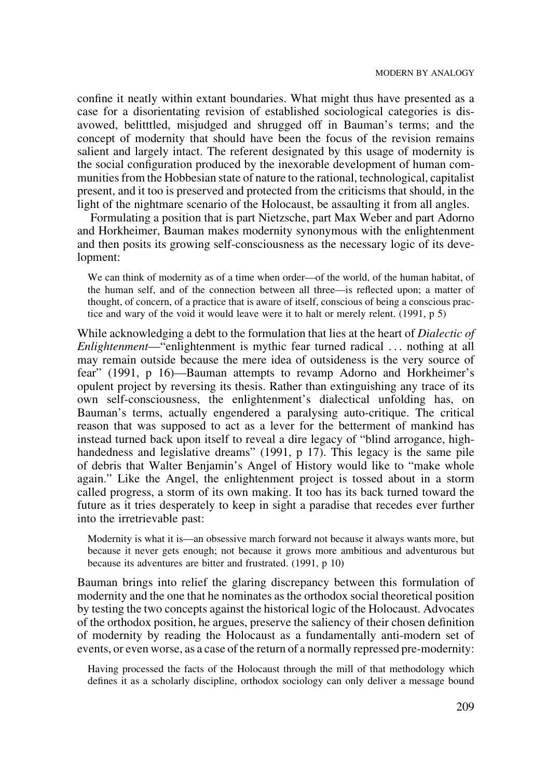confine it neatly within extant boundaries. What might thus have presented as a case for a disorientating revision of established sociological categories is disavowed, belitttled, misjudged and shrugged off in Bauman's terms; and the concept of modernity that should have been the focus of the revision remains salient and largely intact. The referent designated by this usage of modernity is the social configuration produced by the inexorable development of human communities from the Hobbesian state of nature to the rational, technological, capitalist present, and it too is preserved and protected from the criticisms that should, in the light of the nightmare scenario of the Holocaust, be assaulting it from all angles.

Formulating a position that is part Nietzsche, part Max Weber and part Adorno and Horkheimer, Bauman makes modernity synonymous with the enlightenment and then posits its growing self-consciousness as the necessary logic of its development:

We can think of modernity as of a time when order—of the world, of the human habitat, of the human self, and of the connection between all three—is reflected upon; a matter of thought, of concern, of a practice that is aware of itself, conscious of being a conscious practice and wary of the void it would leave were it to halt or merely relent. (1991, p 5)

While acknowledging a debt to the formulation that lies at the heart of *Dialectic of* Enlightenment—"enlightenment is mythic fear turned radical ... nothing at all may remain outside because the mere idea of outsideness is the very source of fear" (1991, p 16)—Bauman attempts to revamp Adorno and Horkheimer's opulent project by reversing its thesis. Rather than extinguishing any trace of its own self-consciousness, the enlightenment's dialectical unfolding has, on Bauman's terms, actually engendered a paralysing auto-critique. The critical reason that was supposed to act as a lever for the betterment of mankind has instead turned back upon itself to reveal a dire legacy of "blind arrogance, highhandedness and legislative dreams" (1991, p 17). This legacy is the same pile of debris that Walter Benjamin's Angel of History would like to "make whole again." Like the Angel, the enlightenment project is tossed about in a storm called progress, a storm of its own making. It too has its back turned toward the future as it tries desperately to keep in sight a paradise that recedes ever further into the irretrievable past:

Modernity is what it is—an obsessive march forward not because it always wants more, but because it never gets enough; not because it grows more ambitious and adventurous but because its adventures are bitter and frustrated. (1991, p 10)

Bauman brings into relief the glaring discrepancy between this formulation of modernity and the one that he nominates as the orthodox social theoretical position by testing the two concepts against the historical logic of the Holocaust. Advocates of the orthodox position, he argues, preserve the saliency of their chosen definition of modernity by reading the Holocaust as a fundamentally anti-modern set of events, or even worse, as a case of the return of a normally repressed pre-modernity:

Having processed the facts of the Holocaust through the mill of that methodology which defines it as a scholarly discipline, orthodox sociology can only deliver a message bound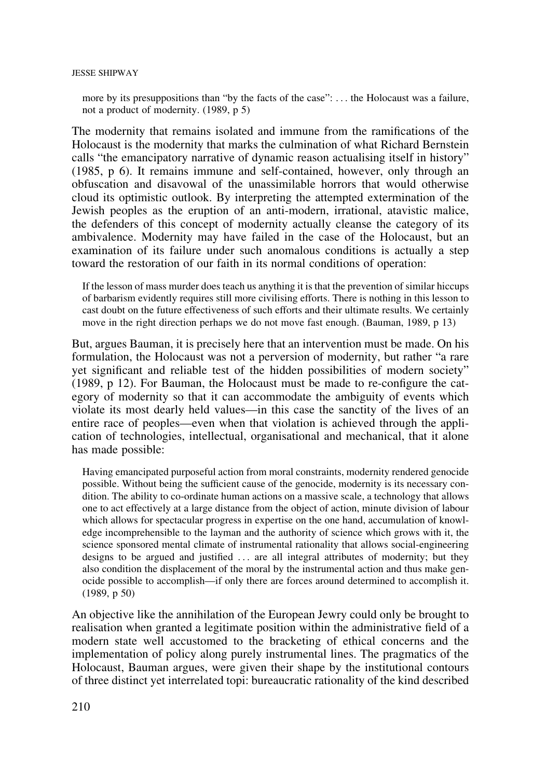more by its presuppositions than "by the facts of the case": ... the Holocaust was a failure, not a product of modernity. (1989, p 5)

The modernity that remains isolated and immune from the ramifications of the Holocaust is the modernity that marks the culmination of what Richard Bernstein calls "the emancipatory narrative of dynamic reason actualising itself in history" (1985, p 6). It remains immune and self-contained, however, only through an obfuscation and disavowal of the unassimilable horrors that would otherwise cloud its optimistic outlook. By interpreting the attempted extermination of the Jewish peoples as the eruption of an anti-modern, irrational, atavistic malice, the defenders of this concept of modernity actually cleanse the category of its ambivalence. Modernity may have failed in the case of the Holocaust, but an examination of its failure under such anomalous conditions is actually a step toward the restoration of our faith in its normal conditions of operation:

If the lesson of mass murder does teach us anything it is that the prevention of similar hiccups of barbarism evidently requires still more civilising efforts. There is nothing in this lesson to cast doubt on the future effectiveness of such efforts and their ultimate results. We certainly move in the right direction perhaps we do not move fast enough. (Bauman, 1989, p 13)

But, argues Bauman, it is precisely here that an intervention must be made. On his formulation, the Holocaust was not a perversion of modernity, but rather "a rare yet significant and reliable test of the hidden possibilities of modern society" (1989, p 12). For Bauman, the Holocaust must be made to re-configure the category of modernity so that it can accommodate the ambiguity of events which violate its most dearly held values—in this case the sanctity of the lives of an entire race of peoples—even when that violation is achieved through the application of technologies, intellectual, organisational and mechanical, that it alone has made possible:

Having emancipated purposeful action from moral constraints, modernity rendered genocide possible. Without being the sufficient cause of the genocide, modernity is its necessary condition. The ability to co-ordinate human actions on a massive scale, a technology that allows one to act effectively at a large distance from the object of action, minute division of labour which allows for spectacular progress in expertise on the one hand, accumulation of knowledge incomprehensible to the layman and the authority of science which grows with it, the science sponsored mental climate of instrumental rationality that allows social-engineering designs to be argued and justified ... are all integral attributes of modernity; but they also condition the displacement of the moral by the instrumental action and thus make genocide possible to accomplish—if only there are forces around determined to accomplish it. (1989, p 50)

An objective like the annihilation of the European Jewry could only be brought to realisation when granted a legitimate position within the administrative field of a modern state well accustomed to the bracketing of ethical concerns and the implementation of policy along purely instrumental lines. The pragmatics of the Holocaust, Bauman argues, were given their shape by the institutional contours of three distinct yet interrelated topi: bureaucratic rationality of the kind described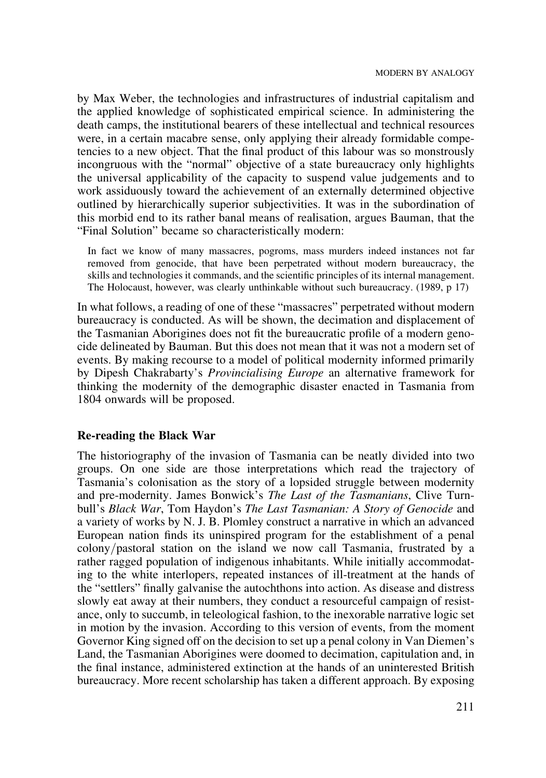by Max Weber, the technologies and infrastructures of industrial capitalism and the applied knowledge of sophisticated empirical science. In administering the death camps, the institutional bearers of these intellectual and technical resources were, in a certain macabre sense, only applying their already formidable competencies to a new object. That the final product of this labour was so monstrously incongruous with the "normal" objective of a state bureaucracy only highlights the universal applicability of the capacity to suspend value judgements and to work assiduously toward the achievement of an externally determined objective outlined by hierarchically superior subjectivities. It was in the subordination of this morbid end to its rather banal means of realisation, argues Bauman, that the "Final Solution" became so characteristically modern:

In fact we know of many massacres, pogroms, mass murders indeed instances not far removed from genocide, that have been perpetrated without modern bureaucracy, the skills and technologies it commands, and the scientific principles of its internal management. The Holocaust, however, was clearly unthinkable without such bureaucracy. (1989, p 17)

In what follows, a reading of one of these "massacres" perpetrated without modern bureaucracy is conducted. As will be shown, the decimation and displacement of the Tasmanian Aborigines does not fit the bureaucratic profile of a modern genocide delineated by Bauman. But this does not mean that it was not a modern set of events. By making recourse to a model of political modernity informed primarily by Dipesh Chakrabarty's Provincialising Europe an alternative framework for thinking the modernity of the demographic disaster enacted in Tasmania from 1804 onwards will be proposed.

# Re-reading the Black War

The historiography of the invasion of Tasmania can be neatly divided into two groups. On one side are those interpretations which read the trajectory of Tasmania's colonisation as the story of a lopsided struggle between modernity and pre-modernity. James Bonwick's The Last of the Tasmanians, Clive Turnbull's Black War, Tom Haydon's The Last Tasmanian: A Story of Genocide and a variety of works by N. J. B. Plomley construct a narrative in which an advanced European nation finds its uninspired program for the establishment of a penal colony/pastoral station on the island we now call Tasmania, frustrated by a rather ragged population of indigenous inhabitants. While initially accommodating to the white interlopers, repeated instances of ill-treatment at the hands of the "settlers" finally galvanise the autochthons into action. As disease and distress slowly eat away at their numbers, they conduct a resourceful campaign of resistance, only to succumb, in teleological fashion, to the inexorable narrative logic set in motion by the invasion. According to this version of events, from the moment Governor King signed off on the decision to set up a penal colony in Van Diemen's Land, the Tasmanian Aborigines were doomed to decimation, capitulation and, in the final instance, administered extinction at the hands of an uninterested British bureaucracy. More recent scholarship has taken a different approach. By exposing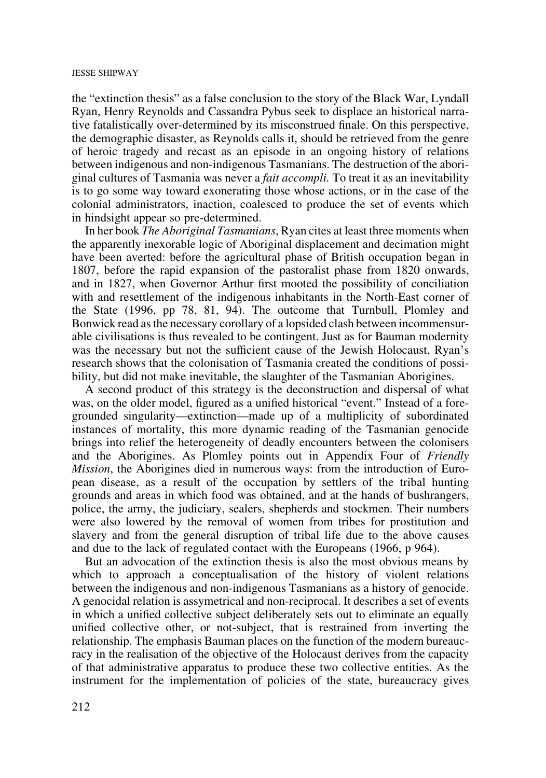the "extinction thesis" as a false conclusion to the story of the Black War, Lyndall Ryan, Henry Reynolds and Cassandra Pybus seek to displace an historical narrative fatalistically over-determined by its misconstrued finale. On this perspective, the demographic disaster, as Reynolds calls it, should be retrieved from the genre of heroic tragedy and recast as an episode in an ongoing history of relations between indigenous and non-indigenous Tasmanians. The destruction of the aboriginal cultures of Tasmania was never a fait accompli. To treat it as an inevitability is to go some way toward exonerating those whose actions, or in the case of the colonial administrators, inaction, coalesced to produce the set of events which in hindsight appear so pre-determined.

In her book The Aboriginal Tasmanians, Ryan cites at least three moments when the apparently inexorable logic of Aboriginal displacement and decimation might have been averted: before the agricultural phase of British occupation began in 1807, before the rapid expansion of the pastoralist phase from 1820 onwards, and in 1827, when Governor Arthur first mooted the possibility of conciliation with and resettlement of the indigenous inhabitants in the North-East corner of the State (1996, pp 78, 81, 94). The outcome that Turnbull, Plomley and Bonwick read as the necessary corollary of a lopsided clash between incommensurable civilisations is thus revealed to be contingent. Just as for Bauman modernity was the necessary but not the sufficient cause of the Jewish Holocaust, Ryan's research shows that the colonisation of Tasmania created the conditions of possibility, but did not make inevitable, the slaughter of the Tasmanian Aborigines.

A second product of this strategy is the deconstruction and dispersal of what was, on the older model, figured as a unified historical "event." Instead of a foregrounded singularity—extinction—made up of a multiplicity of subordinated instances of mortality, this more dynamic reading of the Tasmanian genocide brings into relief the heterogeneity of deadly encounters between the colonisers and the Aborigines. As Plomley points out in Appendix Four of Friendly Mission, the Aborigines died in numerous ways: from the introduction of European disease, as a result of the occupation by settlers of the tribal hunting grounds and areas in which food was obtained, and at the hands of bushrangers, police, the army, the judiciary, sealers, shepherds and stockmen. Their numbers were also lowered by the removal of women from tribes for prostitution and slavery and from the general disruption of tribal life due to the above causes and due to the lack of regulated contact with the Europeans (1966, p 964).

But an advocation of the extinction thesis is also the most obvious means by which to approach a conceptualisation of the history of violent relations between the indigenous and non-indigenous Tasmanians as a history of genocide. A genocidal relation is assymetrical and non-reciprocal. It describes a set of events in which a unified collective subject deliberately sets out to eliminate an equally unified collective other, or not-subject, that is restrained from inverting the relationship. The emphasis Bauman places on the function of the modern bureaucracy in the realisation of the objective of the Holocaust derives from the capacity of that administrative apparatus to produce these two collective entities. As the instrument for the implementation of policies of the state, bureaucracy gives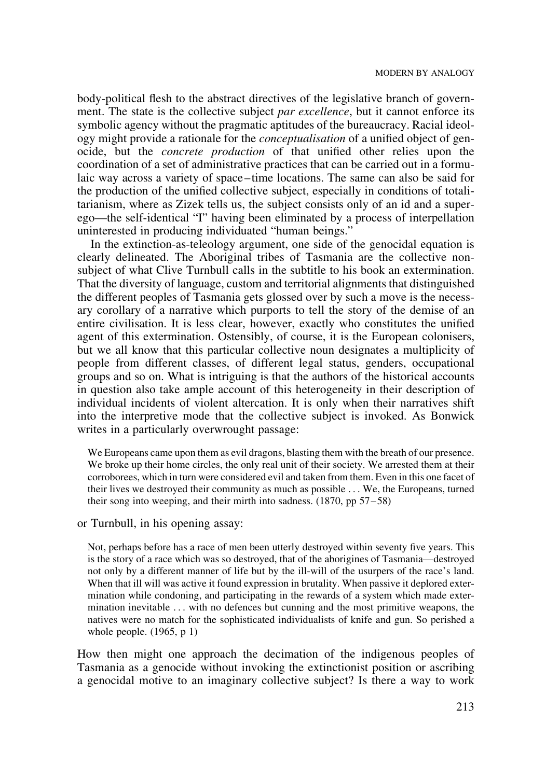body-political flesh to the abstract directives of the legislative branch of government. The state is the collective subject par excellence, but it cannot enforce its symbolic agency without the pragmatic aptitudes of the bureaucracy. Racial ideology might provide a rationale for the conceptualisation of a unified object of genocide, but the concrete production of that unified other relies upon the coordination of a set of administrative practices that can be carried out in a formulaic way across a variety of space–time locations. The same can also be said for the production of the unified collective subject, especially in conditions of totalitarianism, where as Zizek tells us, the subject consists only of an id and a superego—the self-identical "I" having been eliminated by a process of interpellation uninterested in producing individuated "human beings."

In the extinction-as-teleology argument, one side of the genocidal equation is clearly delineated. The Aboriginal tribes of Tasmania are the collective nonsubject of what Clive Turnbull calls in the subtitle to his book an extermination. That the diversity of language, custom and territorial alignments that distinguished the different peoples of Tasmania gets glossed over by such a move is the necessary corollary of a narrative which purports to tell the story of the demise of an entire civilisation. It is less clear, however, exactly who constitutes the unified agent of this extermination. Ostensibly, of course, it is the European colonisers, but we all know that this particular collective noun designates a multiplicity of people from different classes, of different legal status, genders, occupational groups and so on. What is intriguing is that the authors of the historical accounts in question also take ample account of this heterogeneity in their description of individual incidents of violent altercation. It is only when their narratives shift into the interpretive mode that the collective subject is invoked. As Bonwick writes in a particularly overwrought passage:

We Europeans came upon them as evil dragons, blasting them with the breath of our presence. We broke up their home circles, the only real unit of their society. We arrested them at their corroborees, which in turn were considered evil and taken from them. Even in this one facet of their lives we destroyed their community as much as possible ... We, the Europeans, turned their song into weeping, and their mirth into sadness. (1870, pp 57–58)

or Turnbull, in his opening assay:

Not, perhaps before has a race of men been utterly destroyed within seventy five years. This is the story of a race which was so destroyed, that of the aborigines of Tasmania—destroyed not only by a different manner of life but by the ill-will of the usurpers of the race's land. When that ill will was active it found expression in brutality. When passive it deplored extermination while condoning, and participating in the rewards of a system which made extermination inevitable ... with no defences but cunning and the most primitive weapons, the natives were no match for the sophisticated individualists of knife and gun. So perished a whole people. (1965, p 1)

How then might one approach the decimation of the indigenous peoples of Tasmania as a genocide without invoking the extinctionist position or ascribing a genocidal motive to an imaginary collective subject? Is there a way to work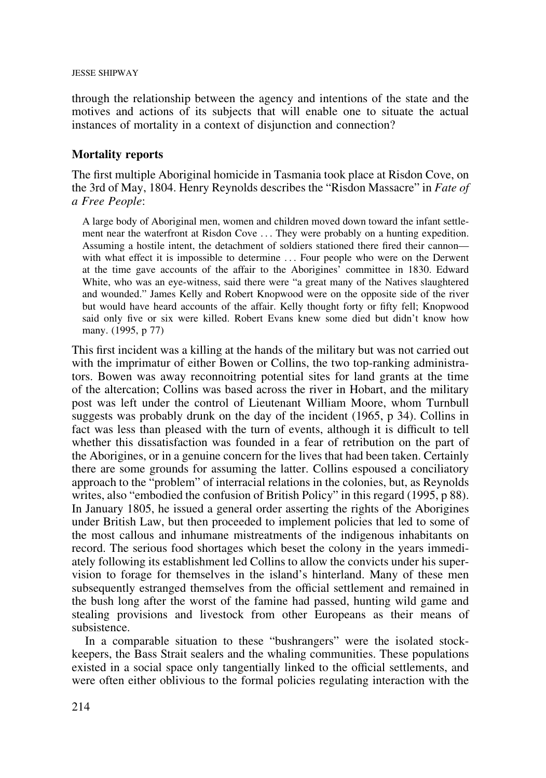through the relationship between the agency and intentions of the state and the motives and actions of its subjects that will enable one to situate the actual instances of mortality in a context of disjunction and connection?

# Mortality reports

The first multiple Aboriginal homicide in Tasmania took place at Risdon Cove, on the 3rd of May, 1804. Henry Reynolds describes the "Risdon Massacre" in Fate of a Free People:

A large body of Aboriginal men, women and children moved down toward the infant settlement near the waterfront at Risdon Cove ... They were probably on a hunting expedition. Assuming a hostile intent, the detachment of soldiers stationed there fired their cannon with what effect it is impossible to determine ... Four people who were on the Derwent at the time gave accounts of the affair to the Aborigines' committee in 1830. Edward White, who was an eye-witness, said there were "a great many of the Natives slaughtered and wounded." James Kelly and Robert Knopwood were on the opposite side of the river but would have heard accounts of the affair. Kelly thought forty or fifty fell; Knopwood said only five or six were killed. Robert Evans knew some died but didn't know how many. (1995, p 77)

This first incident was a killing at the hands of the military but was not carried out with the imprimatur of either Bowen or Collins, the two top-ranking administrators. Bowen was away reconnoitring potential sites for land grants at the time of the altercation; Collins was based across the river in Hobart, and the military post was left under the control of Lieutenant William Moore, whom Turnbull suggests was probably drunk on the day of the incident (1965, p 34). Collins in fact was less than pleased with the turn of events, although it is difficult to tell whether this dissatisfaction was founded in a fear of retribution on the part of the Aborigines, or in a genuine concern for the lives that had been taken. Certainly there are some grounds for assuming the latter. Collins espoused a conciliatory approach to the "problem" of interracial relations in the colonies, but, as Reynolds writes, also "embodied the confusion of British Policy" in this regard (1995, p 88). In January 1805, he issued a general order asserting the rights of the Aborigines under British Law, but then proceeded to implement policies that led to some of the most callous and inhumane mistreatments of the indigenous inhabitants on record. The serious food shortages which beset the colony in the years immediately following its establishment led Collins to allow the convicts under his supervision to forage for themselves in the island's hinterland. Many of these men subsequently estranged themselves from the official settlement and remained in the bush long after the worst of the famine had passed, hunting wild game and stealing provisions and livestock from other Europeans as their means of subsistence.

In a comparable situation to these "bushrangers" were the isolated stockkeepers, the Bass Strait sealers and the whaling communities. These populations existed in a social space only tangentially linked to the official settlements, and were often either oblivious to the formal policies regulating interaction with the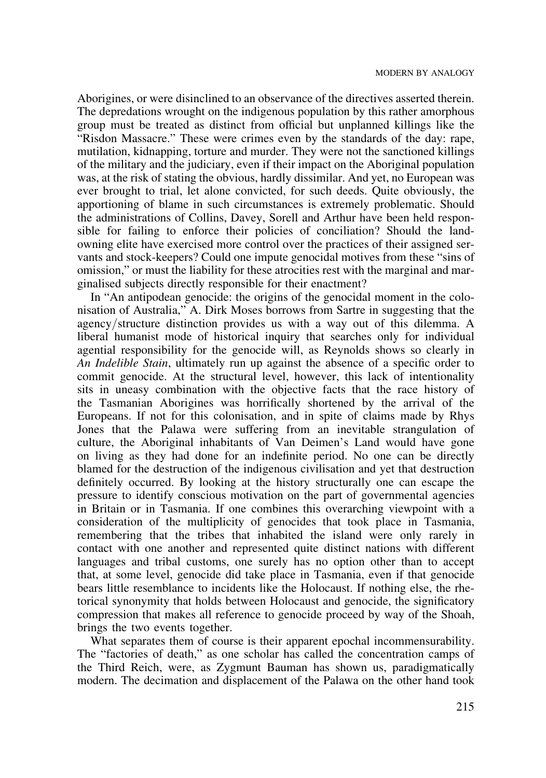Aborigines, or were disinclined to an observance of the directives asserted therein. The depredations wrought on the indigenous population by this rather amorphous group must be treated as distinct from official but unplanned killings like the "Risdon Massacre." These were crimes even by the standards of the day: rape, mutilation, kidnapping, torture and murder. They were not the sanctioned killings of the military and the judiciary, even if their impact on the Aboriginal population was, at the risk of stating the obvious, hardly dissimilar. And yet, no European was ever brought to trial, let alone convicted, for such deeds. Quite obviously, the apportioning of blame in such circumstances is extremely problematic. Should the administrations of Collins, Davey, Sorell and Arthur have been held responsible for failing to enforce their policies of conciliation? Should the landowning elite have exercised more control over the practices of their assigned servants and stock-keepers? Could one impute genocidal motives from these "sins of omission," or must the liability for these atrocities rest with the marginal and marginalised subjects directly responsible for their enactment?

In "An antipodean genocide: the origins of the genocidal moment in the colonisation of Australia," A. Dirk Moses borrows from Sartre in suggesting that the agency/structure distinction provides us with a way out of this dilemma. A liberal humanist mode of historical inquiry that searches only for individual agential responsibility for the genocide will, as Reynolds shows so clearly in An Indelible Stain, ultimately run up against the absence of a specific order to commit genocide. At the structural level, however, this lack of intentionality sits in uneasy combination with the objective facts that the race history of the Tasmanian Aborigines was horrifically shortened by the arrival of the Europeans. If not for this colonisation, and in spite of claims made by Rhys Jones that the Palawa were suffering from an inevitable strangulation of culture, the Aboriginal inhabitants of Van Deimen's Land would have gone on living as they had done for an indefinite period. No one can be directly blamed for the destruction of the indigenous civilisation and yet that destruction definitely occurred. By looking at the history structurally one can escape the pressure to identify conscious motivation on the part of governmental agencies in Britain or in Tasmania. If one combines this overarching viewpoint with a consideration of the multiplicity of genocides that took place in Tasmania, remembering that the tribes that inhabited the island were only rarely in contact with one another and represented quite distinct nations with different languages and tribal customs, one surely has no option other than to accept that, at some level, genocide did take place in Tasmania, even if that genocide bears little resemblance to incidents like the Holocaust. If nothing else, the rhetorical synonymity that holds between Holocaust and genocide, the significatory compression that makes all reference to genocide proceed by way of the Shoah, brings the two events together.

What separates them of course is their apparent epochal incommensurability. The "factories of death," as one scholar has called the concentration camps of the Third Reich, were, as Zygmunt Bauman has shown us, paradigmatically modern. The decimation and displacement of the Palawa on the other hand took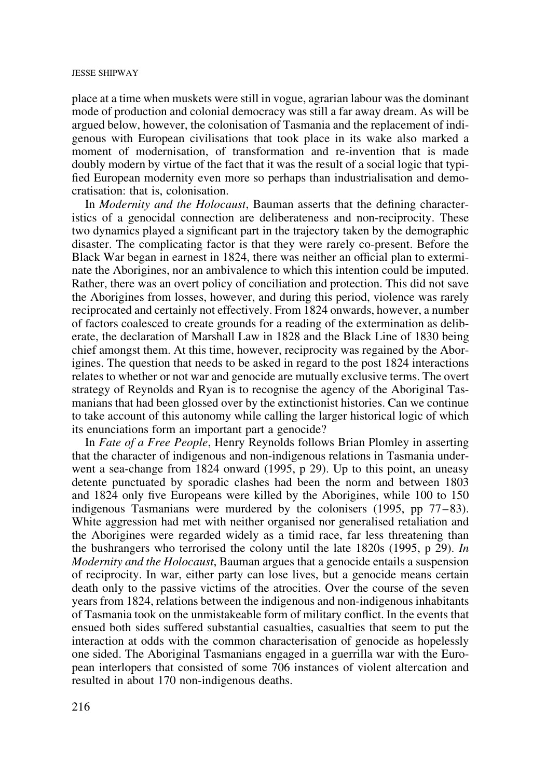place at a time when muskets were still in vogue, agrarian labour was the dominant mode of production and colonial democracy was still a far away dream. As will be argued below, however, the colonisation of Tasmania and the replacement of indigenous with European civilisations that took place in its wake also marked a moment of modernisation, of transformation and re-invention that is made doubly modern by virtue of the fact that it was the result of a social logic that typified European modernity even more so perhaps than industrialisation and democratisation: that is, colonisation.

In *Modernity and the Holocaust*, Bauman asserts that the defining characteristics of a genocidal connection are deliberateness and non-reciprocity. These two dynamics played a significant part in the trajectory taken by the demographic disaster. The complicating factor is that they were rarely co-present. Before the Black War began in earnest in 1824, there was neither an official plan to exterminate the Aborigines, nor an ambivalence to which this intention could be imputed. Rather, there was an overt policy of conciliation and protection. This did not save the Aborigines from losses, however, and during this period, violence was rarely reciprocated and certainly not effectively. From 1824 onwards, however, a number of factors coalesced to create grounds for a reading of the extermination as deliberate, the declaration of Marshall Law in 1828 and the Black Line of 1830 being chief amongst them. At this time, however, reciprocity was regained by the Aborigines. The question that needs to be asked in regard to the post 1824 interactions relates to whether or not war and genocide are mutually exclusive terms. The overt strategy of Reynolds and Ryan is to recognise the agency of the Aboriginal Tasmanians that had been glossed over by the extinctionist histories. Can we continue to take account of this autonomy while calling the larger historical logic of which its enunciations form an important part a genocide?

In Fate of a Free People, Henry Reynolds follows Brian Plomley in asserting that the character of indigenous and non-indigenous relations in Tasmania underwent a sea-change from 1824 onward (1995, p 29). Up to this point, an uneasy detente punctuated by sporadic clashes had been the norm and between 1803 and 1824 only five Europeans were killed by the Aborigines, while 100 to 150 indigenous Tasmanians were murdered by the colonisers  $(1995, pp 77-83)$ . White aggression had met with neither organised nor generalised retaliation and the Aborigines were regarded widely as a timid race, far less threatening than the bushrangers who terrorised the colony until the late 1820s (1995, p 29). In Modernity and the Holocaust, Bauman argues that a genocide entails a suspension of reciprocity. In war, either party can lose lives, but a genocide means certain death only to the passive victims of the atrocities. Over the course of the seven years from 1824, relations between the indigenous and non-indigenous inhabitants of Tasmania took on the unmistakeable form of military conflict. In the events that ensued both sides suffered substantial casualties, casualties that seem to put the interaction at odds with the common characterisation of genocide as hopelessly one sided. The Aboriginal Tasmanians engaged in a guerrilla war with the European interlopers that consisted of some 706 instances of violent altercation and resulted in about 170 non-indigenous deaths.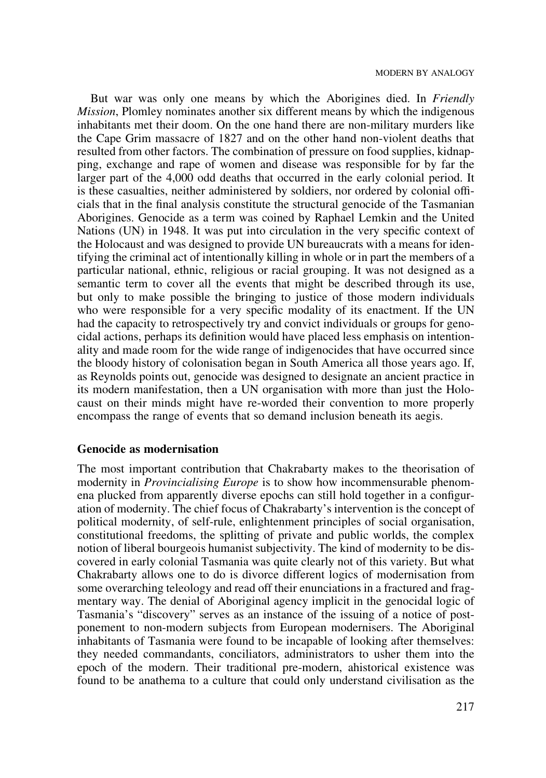But war was only one means by which the Aborigines died. In Friendly Mission, Plomley nominates another six different means by which the indigenous inhabitants met their doom. On the one hand there are non-military murders like the Cape Grim massacre of 1827 and on the other hand non-violent deaths that resulted from other factors. The combination of pressure on food supplies, kidnapping, exchange and rape of women and disease was responsible for by far the larger part of the 4,000 odd deaths that occurred in the early colonial period. It is these casualties, neither administered by soldiers, nor ordered by colonial officials that in the final analysis constitute the structural genocide of the Tasmanian Aborigines. Genocide as a term was coined by Raphael Lemkin and the United Nations (UN) in 1948. It was put into circulation in the very specific context of the Holocaust and was designed to provide UN bureaucrats with a means for identifying the criminal act of intentionally killing in whole or in part the members of a particular national, ethnic, religious or racial grouping. It was not designed as a semantic term to cover all the events that might be described through its use, but only to make possible the bringing to justice of those modern individuals who were responsible for a very specific modality of its enactment. If the UN had the capacity to retrospectively try and convict individuals or groups for genocidal actions, perhaps its definition would have placed less emphasis on intentionality and made room for the wide range of indigenocides that have occurred since the bloody history of colonisation began in South America all those years ago. If, as Reynolds points out, genocide was designed to designate an ancient practice in its modern manifestation, then a UN organisation with more than just the Holocaust on their minds might have re-worded their convention to more properly encompass the range of events that so demand inclusion beneath its aegis.

# Genocide as modernisation

The most important contribution that Chakrabarty makes to the theorisation of modernity in *Provincialising Europe* is to show how incommensurable phenomena plucked from apparently diverse epochs can still hold together in a configuration of modernity. The chief focus of Chakrabarty's intervention is the concept of political modernity, of self-rule, enlightenment principles of social organisation, constitutional freedoms, the splitting of private and public worlds, the complex notion of liberal bourgeois humanist subjectivity. The kind of modernity to be discovered in early colonial Tasmania was quite clearly not of this variety. But what Chakrabarty allows one to do is divorce different logics of modernisation from some overarching teleology and read off their enunciations in a fractured and fragmentary way. The denial of Aboriginal agency implicit in the genocidal logic of Tasmania's "discovery" serves as an instance of the issuing of a notice of postponement to non-modern subjects from European modernisers. The Aboriginal inhabitants of Tasmania were found to be incapable of looking after themselves: they needed commandants, conciliators, administrators to usher them into the epoch of the modern. Their traditional pre-modern, ahistorical existence was found to be anathema to a culture that could only understand civilisation as the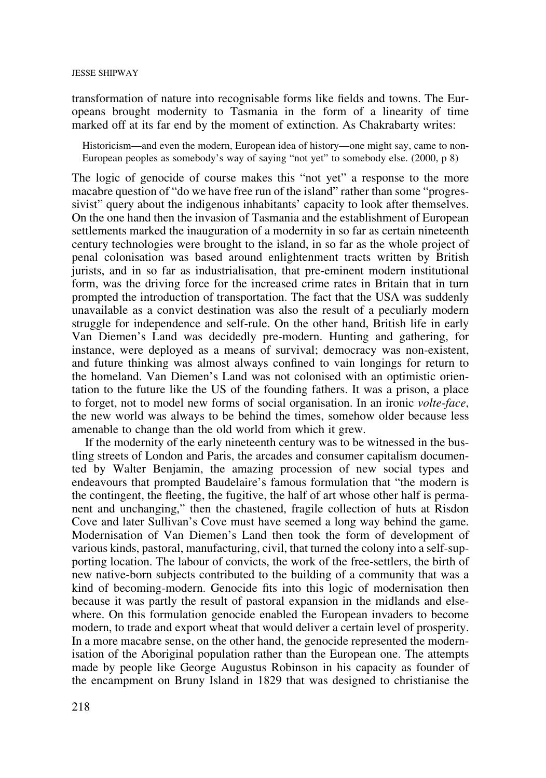transformation of nature into recognisable forms like fields and towns. The Europeans brought modernity to Tasmania in the form of a linearity of time marked off at its far end by the moment of extinction. As Chakrabarty writes:

Historicism—and even the modern, European idea of history—one might say, came to non-European peoples as somebody's way of saying "not yet" to somebody else. (2000, p 8)

The logic of genocide of course makes this "not yet" a response to the more macabre question of "do we have free run of the island" rather than some "progressivist" query about the indigenous inhabitants' capacity to look after themselves. On the one hand then the invasion of Tasmania and the establishment of European settlements marked the inauguration of a modernity in so far as certain nineteenth century technologies were brought to the island, in so far as the whole project of penal colonisation was based around enlightenment tracts written by British jurists, and in so far as industrialisation, that pre-eminent modern institutional form, was the driving force for the increased crime rates in Britain that in turn prompted the introduction of transportation. The fact that the USA was suddenly unavailable as a convict destination was also the result of a peculiarly modern struggle for independence and self-rule. On the other hand, British life in early Van Diemen's Land was decidedly pre-modern. Hunting and gathering, for instance, were deployed as a means of survival; democracy was non-existent, and future thinking was almost always confined to vain longings for return to the homeland. Van Diemen's Land was not colonised with an optimistic orientation to the future like the US of the founding fathers. It was a prison, a place to forget, not to model new forms of social organisation. In an ironic volte-face, the new world was always to be behind the times, somehow older because less amenable to change than the old world from which it grew.

If the modernity of the early nineteenth century was to be witnessed in the bustling streets of London and Paris, the arcades and consumer capitalism documented by Walter Benjamin, the amazing procession of new social types and endeavours that prompted Baudelaire's famous formulation that "the modern is the contingent, the fleeting, the fugitive, the half of art whose other half is permanent and unchanging," then the chastened, fragile collection of huts at Risdon Cove and later Sullivan's Cove must have seemed a long way behind the game. Modernisation of Van Diemen's Land then took the form of development of various kinds, pastoral, manufacturing, civil, that turned the colony into a self-supporting location. The labour of convicts, the work of the free-settlers, the birth of new native-born subjects contributed to the building of a community that was a kind of becoming-modern. Genocide fits into this logic of modernisation then because it was partly the result of pastoral expansion in the midlands and elsewhere. On this formulation genocide enabled the European invaders to become modern, to trade and export wheat that would deliver a certain level of prosperity. In a more macabre sense, on the other hand, the genocide represented the modernisation of the Aboriginal population rather than the European one. The attempts made by people like George Augustus Robinson in his capacity as founder of the encampment on Bruny Island in 1829 that was designed to christianise the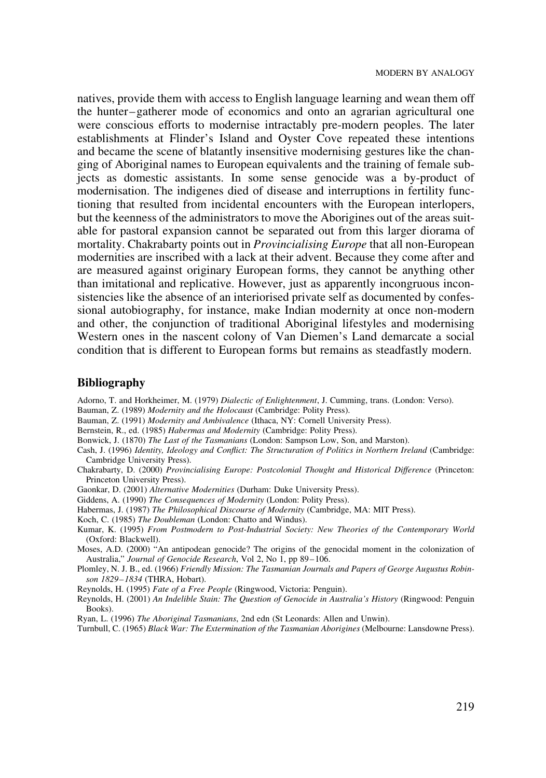natives, provide them with access to English language learning and wean them off the hunter– gatherer mode of economics and onto an agrarian agricultural one were conscious efforts to modernise intractably pre-modern peoples. The later establishments at Flinder's Island and Oyster Cove repeated these intentions and became the scene of blatantly insensitive modernising gestures like the changing of Aboriginal names to European equivalents and the training of female subjects as domestic assistants. In some sense genocide was a by-product of modernisation. The indigenes died of disease and interruptions in fertility functioning that resulted from incidental encounters with the European interlopers, but the keenness of the administrators to move the Aborigines out of the areas suitable for pastoral expansion cannot be separated out from this larger diorama of mortality. Chakrabarty points out in *Provincialising Europe* that all non-European modernities are inscribed with a lack at their advent. Because they come after and are measured against originary European forms, they cannot be anything other than imitational and replicative. However, just as apparently incongruous inconsistencies like the absence of an interiorised private self as documented by confessional autobiography, for instance, make Indian modernity at once non-modern and other, the conjunction of traditional Aboriginal lifestyles and modernising Western ones in the nascent colony of Van Diemen's Land demarcate a social condition that is different to European forms but remains as steadfastly modern.

# Bibliography

Adorno, T. and Horkheimer, M. (1979) Dialectic of Enlightenment, J. Cumming, trans. (London: Verso).

- Bauman, Z. (1989) Modernity and the Holocaust (Cambridge: Polity Press).
- Bauman, Z. (1991) Modernity and Ambivalence (Ithaca, NY: Cornell University Press).

Bernstein, R., ed. (1985) Habermas and Modernity (Cambridge: Polity Press).

- Bonwick, J. (1870) The Last of the Tasmanians (London: Sampson Low, Son, and Marston).
- Cash, J. (1996) Identity, Ideology and Conflict: The Structuration of Politics in Northern Ireland (Cambridge: Cambridge University Press).
- Chakrabarty, D. (2000) Provincialising Europe: Postcolonial Thought and Historical Difference (Princeton: Princeton University Press).
- Gaonkar, D. (2001) Alternative Modernities (Durham: Duke University Press).
- Giddens, A. (1990) The Consequences of Modernity (London: Polity Press).
- Habermas, J. (1987) The Philosophical Discourse of Modernity (Cambridge, MA: MIT Press).
- Koch, C. (1985) The Doubleman (London: Chatto and Windus).
- Kumar, K. (1995) From Postmodern to Post-Industrial Society: New Theories of the Contemporary World (Oxford: Blackwell).
- Moses, A.D. (2000) "An antipodean genocide? The origins of the genocidal moment in the colonization of Australia," Journal of Genocide Research, Vol 2, No 1, pp 89–106.
- Plomley, N. J. B., ed. (1966) Friendly Mission: The Tasmanian Journals and Papers of George Augustus Robinson 1829– 1834 (THRA, Hobart).
- Reynolds, H. (1995) Fate of a Free People (Ringwood, Victoria: Penguin).
- Reynolds, H. (2001) An Indelible Stain: The Question of Genocide in Australia's History (Ringwood: Penguin Books).
- Ryan, L. (1996) The Aboriginal Tasmanians, 2nd edn (St Leonards: Allen and Unwin).
- Turnbull, C. (1965) Black War: The Extermination of the Tasmanian Aborigines (Melbourne: Lansdowne Press).